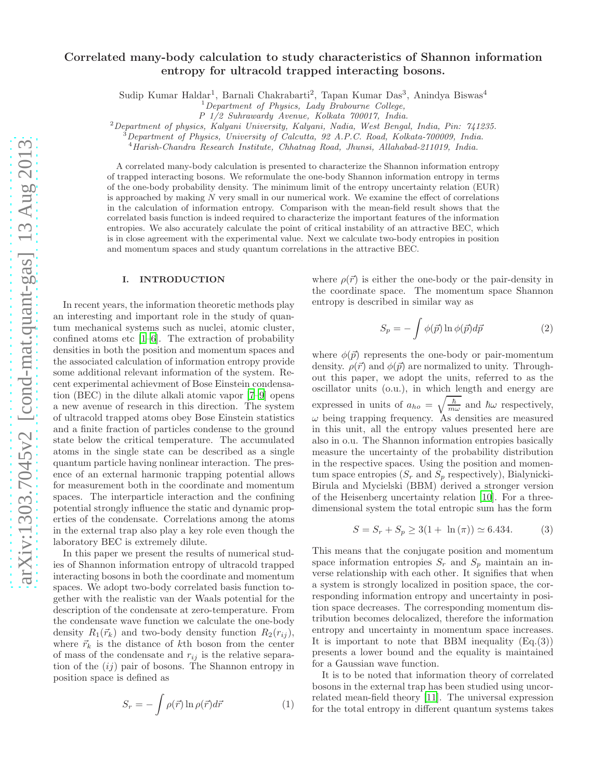# Correlated many-body calculation to study characteristics of Shannon information entropy for ultracold trapped interacting bosons.

Sudip Kumar Haldar<sup>1</sup>, Barnali Chakrabarti<sup>2</sup>, Tapan Kumar Das<sup>3</sup>, Anindya Biswas<sup>4</sup>

*P 1/2 Suhrawardy Avenue, Kolkata 700017, India.*

<sup>2</sup>*Department of physics, Kalyani University, Kalyani, Nadia, West Bengal, India, Pin: 741235.*

<sup>3</sup>*Department of Physics, University of Calcutta, 92 A.P.C. Road, Kolkata-700009, India.*

<sup>4</sup>*Harish-Chandra Research Institute, Chhatnag Road, Jhunsi, Allahabad-211019, India.*

A correlated many-body calculation is presented to characterize the Shannon information entropy of trapped interacting bosons. We reformulate the one-body Shannon information entropy in terms of the one-body probability density. The minimum limit of the entropy uncertainty relation (EUR) is approached by making  $N$  very small in our numerical work. We examine the effect of correlations in the calculation of information entropy. Comparison with the mean-field result shows that the correlated basis function is indeed required to characterize the important features of the information entropies. We also accurately calculate the point of critical instability of an attractive BEC, which is in close agreement with the experimental value. Next we calculate two-body entropies in position and momentum spaces and study quantum correlations in the attractive BEC.

#### I. INTRODUCTION

In recent years, the information theoretic methods play an interesting and important role in the study of quantum mechanical systems such as nuclei, atomic cluster, confined atoms etc  $[1-6]$ . The extraction of probability densities in both the position and momentum spaces and the associated calculation of information entropy provide some additional relevant information of the system. Recent experimental achievment of Bose Einstein condensation (BEC) in the dilute alkali atomic vapor [\[7](#page-10-2)[–9](#page-10-3)] opens a new avenue of research in this direction. The system of ultracold trapped atoms obey Bose Einstein statistics and a finite fraction of particles condense to the ground state below the critical temperature. The accumulated atoms in the single state can be described as a single quantum particle having nonlinear interaction. The presence of an external harmonic trapping potential allows for measurement both in the coordinate and momentum spaces. The interparticle interaction and the confining potential strongly influence the static and dynamic properties of the condensate. Correlations among the atoms in the external trap also play a key role even though the laboratory BEC is extremely dilute.

In this paper we present the results of numerical studies of Shannon information entropy of ultracold trapped interacting bosons in both the coordinate and momentum spaces. We adopt two-body correlated basis function together with the realistic van der Waals potential for the description of the condensate at zero-temperature. From the condensate wave function we calculate the one-body density  $R_1(\vec{r}_k)$  and two-body density function  $R_2(r_{ij}),$ where  $\vec{r}_k$  is the distance of kth boson from the center of mass of the condensate and  $r_{ij}$  is the relative separation of the  $(ij)$  pair of bosons. The Shannon entropy in position space is defined as

$$
S_r = -\int \rho(\vec{r}) \ln \rho(\vec{r}) d\vec{r}
$$
 (1)

where  $\rho(\vec{r})$  is either the one-body or the pair-density in the coordinate space. The momentum space Shannon entropy is described in similar way as

$$
S_p = -\int \phi(\vec{p}) \ln \phi(\vec{p}) d\vec{p}
$$
 (2)

where  $\phi(\vec{p})$  represents the one-body or pair-momentum density.  $\rho(\vec{r})$  and  $\phi(\vec{p})$  are normalized to unity. Throughout this paper, we adopt the units, referred to as the oscillator units (o.u.), in which length and energy are expressed in units of  $a_{ho} = \sqrt{\frac{\hbar}{m}}$  $\frac{\hbar}{m\omega}$  and  $\hbar\omega$  respectively,  $\omega$  being trapping frequency. As densities are measured in this unit, all the entropy values presented here are also in o.u. The Shannon information entropies basically measure the uncertainty of the probability distribution in the respective spaces. Using the position and momentum space entropies  $(S_r$  and  $S_p$  respectively), Bialynicki-Birula and Mycielski (BBM) derived a stronger version of the Heisenberg uncertainty relation [\[10\]](#page-10-4). For a threedimensional system the total entropic sum has the form

$$
S = S_r + S_p \ge 3(1 + \ln(\pi)) \simeq 6.434. \tag{3}
$$

This means that the conjugate position and momentum space information entropies  $S_r$  and  $S_p$  maintain an inverse relationship with each other. It signifies that when a system is strongly localized in position space, the corresponding information entropy and uncertainty in position space decreases. The corresponding momentum distribution becomes delocalized, therefore the information entropy and uncertainty in momentum space increases. It is important to note that BBM inequality  $(Eq.(3))$ presents a lower bound and the equality is maintained for a Gaussian wave function.

It is to be noted that information theory of correlated bosons in the external trap has been studied using uncorrelated mean-field theory [\[11](#page-10-5)]. The universal expression for the total entropy in different quantum systems takes

<sup>1</sup>*Department of Physics, Lady Brabourne College,*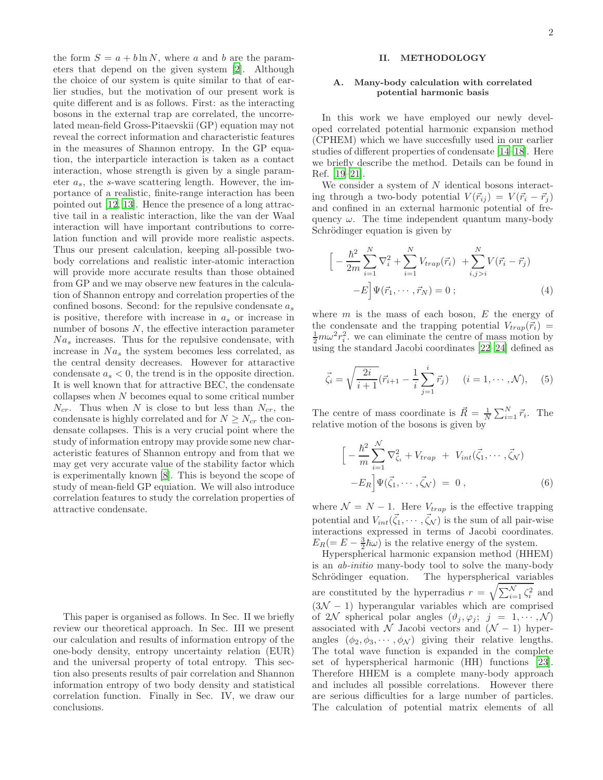the form  $S = a + b \ln N$ , where a and b are the parameters that depend on the given system [\[2](#page-10-6)]. Although the choice of our system is quite similar to that of earlier studies, but the motivation of our present work is quite different and is as follows. First: as the interacting bosons in the external trap are correlated, the uncorrelated mean-field Gross-Pitaevskii (GP) equation may not reveal the correct information and characteristic features in the measures of Shannon entropy. In the GP equation, the interparticle interaction is taken as a contact interaction, whose strength is given by a single parameter  $a_s$ , the s-wave scattering length. However, the importance of a realistic, finite-range interaction has been pointed out [\[12,](#page-10-7) [13\]](#page-10-8). Hence the presence of a long attractive tail in a realistic interaction, like the van der Waal interaction will have important contributions to correlation function and will provide more realistic aspects. Thus our present calculation, keeping all-possible twobody correlations and realistic inter-atomic interaction will provide more accurate results than those obtained from GP and we may observe new features in the calculation of Shannon entropy and correlation properties of the confined bosons. Second: for the repulsive condensate  $a_s$ is positive, therefore with increase in  $a_s$  or increase in number of bosons  $N$ , the effective interaction parameter  $Na<sub>s</sub>$  increases. Thus for the repulsive condensate, with increase in  $Na<sub>s</sub>$  the system becomes less correlated, as the central density decreases. However for attaractive condensate  $a_s < 0$ , the trend is in the opposite direction. It is well known that for attractive BEC, the condensate collapses when N becomes equal to some critical number  $N_{cr}$ . Thus when N is close to but less than  $N_{cr}$ , the condensate is highly correlated and for  $N \geq N_{cr}$  the condensate collapses. This is a very crucial point where the study of information entropy may provide some new characteristic features of Shannon entropy and from that we may get very accurate value of the stability factor which is experimentally known [\[8\]](#page-10-9). This is beyond the scope of study of mean-field GP equiation. We will also introduce correlation features to study the correlation properties of attractive condensate.

This paper is organised as follows. In Sec. II we briefly review our theoretical approach. In Sec. III we present our calculation and results of information entropy of the one-body density, entropy uncertainty relation (EUR) and the universal property of total entropy. This section also presents results of pair correlation and Shannon information entropy of two body density and statistical correlation function. Finally in Sec. IV, we draw our conclusions.

# II. METHODOLOGY

## A. Many-body calculation with correlated potential harmonic basis

In this work we have employed our newly developed correlated potential harmonic expansion method (CPHEM) which we have succesfully used in our earlier studies of different properties of condensate [\[14](#page-10-10)[–18](#page-10-11)]. Here we briefly describe the method. Details can be found in Ref. [\[19](#page-10-12)[–21\]](#page-10-13).

We consider a system of  $N$  identical bosons interacting through a two-body potential  $V(\vec{r}_{i}) = V(\vec{r}_{i} - \vec{r}_{i})$ and confined in an external harmonic potential of frequency  $\omega$ . The time independent quantum many-body Schrödinger equation is given by

$$
\left[ -\frac{\hbar^2}{2m} \sum_{i=1}^N \nabla_i^2 + \sum_{i=1}^N V_{trap}(\vec{r}_i) + \sum_{i,j>i}^N V(\vec{r}_i - \vec{r}_j) - E \right] \Psi(\vec{r}_1, \cdots, \vec{r}_N) = 0 ; \tag{4}
$$

where  $m$  is the mass of each boson,  $E$  the energy of the condensate and the trapping potential  $V_{trap}(\vec{r}_i)$  =  $\frac{1}{2}m\omega^2r_i^2$ , we can eliminate the centre of mass motion by using the standard Jacobi coordinates [\[22](#page-10-14)[–24\]](#page-10-15) defined as

$$
\vec{\zeta}_i = \sqrt{\frac{2i}{i+1}} (\vec{r}_{i+1} - \frac{1}{i} \sum_{j=1}^i \vec{r}_j) \quad (i = 1, \cdots, \mathcal{N}), \quad (5)
$$

The centre of mass coordinate is  $\vec{R} = \frac{1}{N} \sum_{i=1}^{N} \vec{r_i}$ . The relative motion of the bosons is given by

$$
\left[ -\frac{\hbar^2}{m} \sum_{i=1}^N \nabla^2_{\zeta_i} + V_{trap} + V_{int}(\vec{\zeta}_1, \cdots, \vec{\zeta}_N) -E_R \right] \Psi(\vec{\zeta}_1, \cdots, \vec{\zeta}_N) = 0 ,
$$
\n(6)

where  $\mathcal{N} = N - 1$ . Here  $V_{trap}$  is the effective trapping potential and  $V_{int}(\vec{\zeta}_1,\dots,\vec{\zeta}_N)$  is the sum of all pair-wise interactions expressed in terms of Jacobi coordinates.  $E_R (= E - \frac{3}{2}\hbar\omega)$  is the relative energy of the system.

Hyperspherical harmonic expansion method (HHEM) is an ab-initio many-body tool to solve the many-body Schrödinger equation. The hyperspherical variables are constituted by the hyperradius  $r = \sqrt{\sum_{i=1}^{N} \zeta_i^2}$  and  $(3\mathcal{N} - 1)$  hyperangular variables which are comprised of 2N spherical polar angles  $(\vartheta_j, \varphi_j; j = 1, \dots, N)$ associated with  $\overline{\mathcal{N}}$  Jacobi vectors and  $(\mathcal{N} - 1)$  hyperangles  $(\phi_2, \phi_3, \cdots, \phi_{\mathcal{N}})$  giving their relative lengths. The total wave function is expanded in the complete set of hyperspherical harmonic (HH) functions [\[23\]](#page-10-16). Therefore HHEM is a complete many-body approach and includes all possible correlations. However there are serious difficulties for a large number of particles. The calculation of potential matrix elements of all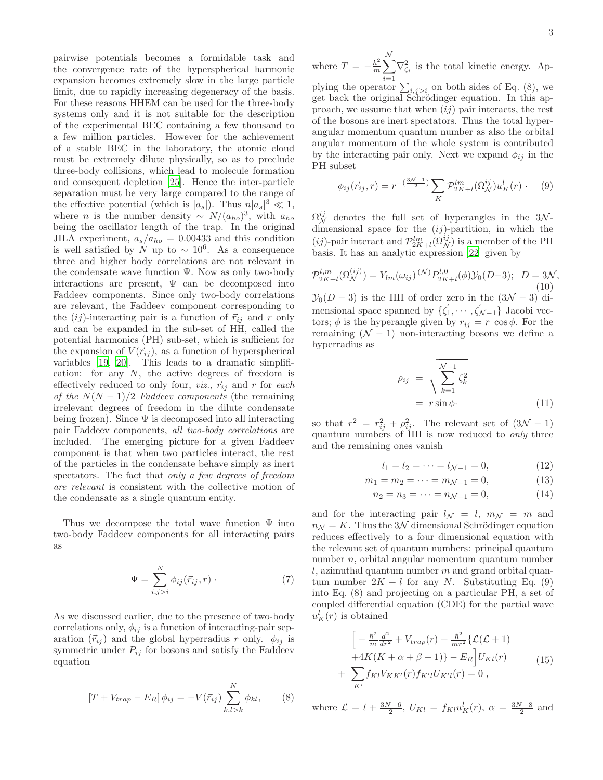pairwise potentials becomes a formidable task and the convergence rate of the hyperspherical harmonic expansion becomes extremely slow in the large particle limit, due to rapidly increasing degeneracy of the basis. For these reasons HHEM can be used for the three-body systems only and it is not suitable for the description of the experimental BEC containing a few thousand to a few million particles. However for the achievement of a stable BEC in the laboratory, the atomic cloud must be extremely dilute physically, so as to preclude three-body collisions, which lead to molecule formation and consequent depletion [\[25\]](#page-10-17). Hence the inter-particle separation must be very large compared to the range of the effective potential (which is  $|a_s|$ ). Thus  $n|a_s|^3 \ll 1$ , where *n* is the number density ~  $N/(a_{ho})^3$ , with  $a_{ho}$ being the oscillator length of the trap. In the original JILA experiment,  $a_s/a_{ho} = 0.00433$  and this condition is well satisfied by N up to  $\sim 10^6$ . As a consequence three and higher body correlations are not relevant in the condensate wave function  $\Psi$ . Now as only two-body interactions are present,  $\Psi$  can be decomposed into Faddeev components. Since only two-body correlations are relevant, the Faddeev component corresponding to the  $(ij)$ -interacting pair is a function of  $\vec{r}_{ij}$  and r only and can be expanded in the sub-set of HH, called the potential harmonics (PH) sub-set, which is sufficient for the expansion of  $V(\vec{r}_{ij})$ , as a function of hyperspherical variables [\[19](#page-10-12), [20](#page-10-18)]. This leads to a dramatic simplification: for any  $N$ , the active degrees of freedom is effectively reduced to only four, *viz.*,  $\vec{r}_{ij}$  and r for each of the  $N(N-1)/2$  Faddeev components (the remaining irrelevant degrees of freedom in the dilute condensate being frozen). Since  $\Psi$  is decomposed into all interacting pair Faddeev components, all two-body correlations are included. The emerging picture for a given Faddeev component is that when two particles interact, the rest of the particles in the condensate behave simply as inert spectators. The fact that only a few degrees of freedom are relevant is consistent with the collective motion of the condensate as a single quantum entity.

Thus we decompose the total wave function  $\Psi$  into two-body Faddeev components for all interacting pairs as

$$
\Psi = \sum_{i,j>i}^{N} \phi_{ij}(\vec{r}_{ij},r) \tag{7}
$$

As we discussed earlier, due to the presence of two-body correlations only,  $\phi_{ij}$  is a function of interacting-pair separation  $(\vec{r}_{ij})$  and the global hyperradius r only.  $\phi_{ij}$  is symmetric under  $P_{ij}$  for bosons and satisfy the Faddeev equation

$$
[T + V_{trap} - E_R] \phi_{ij} = -V(\vec{r}_{ij}) \sum_{k,l > k}^{N} \phi_{kl}, \qquad (8)
$$

where  $T = -\frac{\hbar^2}{m}$  $\frac{\hbar^2}{m} \sum$ N  $\sum_{i=1} \nabla_{\zeta_i}^2$  is the total kinetic energy. Applying the operator  $\sum_{i,j>i}$  on both sides of Eq. (8), we get back the original Schrödinger equation. In this approach, we assume that when  $(ij)$  pair interacts, the rest of the bosons are inert spectators. Thus the total hyperangular momentum quantum number as also the orbital angular momentum of the whole system is contributed by the interacting pair only. Next we expand  $\phi_{ij}$  in the PH subset

$$
\phi_{ij}(\vec{r}_{ij},r) = r^{-\left(\frac{3\mathcal{N}-1}{2}\right)} \sum_{K} \mathcal{P}_{2K+l}^{lm}(\Omega_N^{ij}) u_K^l(r) \qquad (9)
$$

 $\Omega_N^{ij}$  denotes the full set of hyperangles in the 3Ndimensional space for the  $(ij)$ -partition, in which the (*ij*)-pair interact and  $\mathcal{P}_{2K+l}^{lm}(\Omega_N^{ij})$  is a member of the PH basis. It has an analytic expression [\[22](#page-10-14)] given by

$$
\mathcal{P}_{2K+l}^{l,m}(\Omega_N^{(ij)}) = Y_{lm}(\omega_{ij})^{(\mathcal{N})} P_{2K+l}^{l,0}(\phi) \mathcal{Y}_0(D-3); \quad D = 3\mathcal{N},\tag{10}
$$

 $\mathcal{Y}_0(D-3)$  is the HH of order zero in the  $(3\mathcal{N}-3)$  dimensional space spanned by  $\{\vec{\zeta}_1, \cdots, \vec{\zeta}_{N-1}\}$  Jacobi vectors;  $\phi$  is the hyperangle given by  $r_{ij} = r \cos \phi$ . For the remaining  $(N - 1)$  non-interacting bosons we define a hyperradius as

$$
\rho_{ij} = \sqrt{\sum_{k=1}^{N-1} \zeta_k^2}
$$
  
=  $r \sin \phi$ . (11)

so that  $r^2 = r_{ij}^2 + \rho_{ij}^2$ . The relevant set of  $(3\mathcal{N} - 1)$ quantum numbers of HH is now reduced to only three and the remaining ones vanish

$$
l_1 = l_2 = \dots = l_{\mathcal{N}-1} = 0,\tag{12}
$$

$$
m_1 = m_2 = \dots = m_{\mathcal{N}-1} = 0,\tag{13}
$$

$$
n_2 = n_3 = \dots = n_{\mathcal{N}-1} = 0,\tag{14}
$$

and for the interacting pair  $l_N = l$ ,  $m_N = m$  and  $n_N = K$ . Thus the 3N dimensional Schrödinger equation reduces effectively to a four dimensional equation with the relevant set of quantum numbers: principal quantum number n, orbital angular momentum quantum number l, azimuthal quantum number  $m$  and grand orbital quantum number  $2K + l$  for any N. Substituting Eq. (9) into Eq. (8) and projecting on a particular PH, a set of coupled differential equation (CDE) for the partial wave  $u_K^l(r)$  is obtained

$$
\begin{aligned}\n&\left[-\frac{\hbar^2}{m}\frac{d^2}{dr^2} + V_{trap}(r) + \frac{\hbar^2}{mr^2}\left\{\mathcal{L}(\mathcal{L} + 1) + 4K(K + \alpha + \beta + 1)\right\} - E_R\right]U_{Kl}(r) \\
&+ \sum_{K'} f_{Kl}V_{KK'}(r)f_{K'l}U_{K'l}(r) = 0 \,,\n\end{aligned} \tag{15}
$$

where  $\mathcal{L} = l + \frac{3N-6}{2}$ ,  $U_{Kl} = f_{Kl} u_K^l(r)$ ,  $\alpha = \frac{3N-8}{2}$  and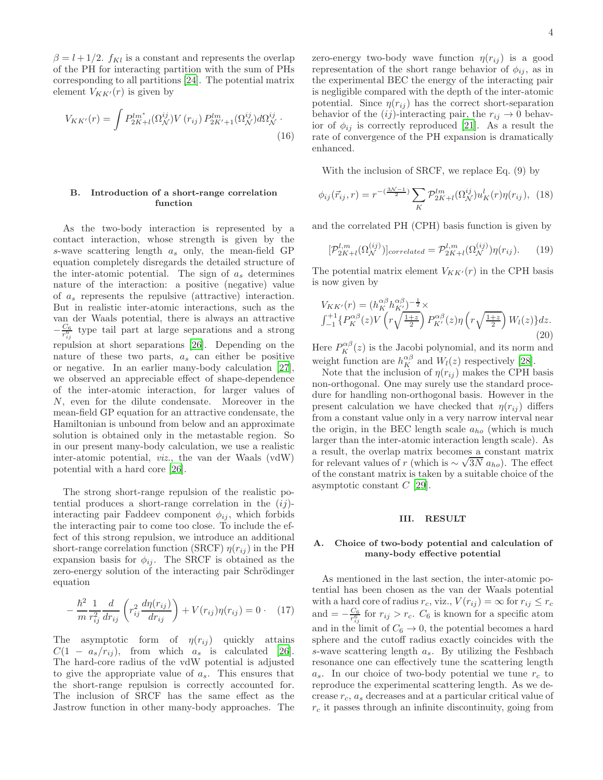$\beta = l + 1/2$ .  $f_{Kl}$  is a constant and represents the overlap of the PH for interacting partition with the sum of PHs corresponding to all partitions [\[24](#page-10-15)]. The potential matrix element  $V_{KK'}(r)$  is given by

$$
V_{KK'}(r) = \int P_{2K+l}^{lm^*} (\Omega_N^{ij}) V(r_{ij}) P_{2K'+1}^{lm} (\Omega_N^{ij}) d\Omega_N^{ij}.
$$
\n(16)

## B. Introduction of a short-range correlation function

As the two-body interaction is represented by a contact interaction, whose strength is given by the s-wave scattering length  $a_s$  only, the mean-field GP equation completely disregards the detailed structure of the inter-atomic potential. The sign of  $a_s$  determines nature of the interaction: a positive (negative) value of a<sup>s</sup> represents the repulsive (attractive) interaction. But in realistic inter-atomic interactions, such as the van der Waals potential, there is always an attractive  $-\frac{C_6}{r_{ij}^6}$  type tail part at large separations and a strong repulsion at short separations [\[26\]](#page-10-19). Depending on the nature of these two parts,  $a_s$  can either be positive or negative. In an earlier many-body calculation [\[27\]](#page-10-20), we observed an appreciable effect of shape-dependence of the inter-atomic interaction, for larger values of N, even for the dilute condensate. Moreover in the mean-field GP equation for an attractive condensate, the Hamiltonian is unbound from below and an approximate solution is obtained only in the metastable region. So in our present many-body calculation, we use a realistic inter-atomic potential, viz., the van der Waals (vdW) potential with a hard core [\[26](#page-10-19)].

The strong short-range repulsion of the realistic potential produces a short-range correlation in the  $(ij)$ interacting pair Faddeev component  $\phi_{ij}$ , which forbids the interacting pair to come too close. To include the effect of this strong repulsion, we introduce an additional short-range correlation function (SRCF)  $\eta(r_{ij})$  in the PH expansion basis for  $\phi_{ij}$ . The SRCF is obtained as the zero-energy solution of the interacting pair Schrödinger equation

$$
-\frac{\hbar^2}{m} \frac{1}{r_{ij}^2} \frac{d}{dr_{ij}} \left( r_{ij}^2 \frac{d\eta(r_{ij})}{dr_{ij}} \right) + V(r_{ij})\eta(r_{ij}) = 0 \qquad (17)
$$

The asymptotic form of  $\eta(r_{ij})$  quickly attains  $C(1 - a_s/r_{ij})$ , from which  $a_s$  is calculated [\[26\]](#page-10-19). The hard-core radius of the vdW potential is adjusted to give the appropriate value of  $a_s$ . This ensures that the short-range repulsion is correctly accounted for. The inclusion of SRCF has the same effect as the Jastrow function in other many-body approaches. The zero-energy two-body wave function  $\eta(r_{ij})$  is a good representation of the short range behavior of  $\phi_{ij}$ , as in the experimental BEC the energy of the interacting pair is negligible compared with the depth of the inter-atomic potential. Since  $\eta(r_{ij})$  has the correct short-separation behavior of the  $(ij)$ -interacting pair, the  $r_{ij} \rightarrow 0$  behavior of  $\phi_{ij}$  is correctly reproduced [\[21\]](#page-10-13). As a result the rate of convergence of the PH expansion is dramatically enhanced.

With the inclusion of SRCF, we replace Eq. (9) by

$$
\phi_{ij}(\vec{r}_{ij},r) = r^{-\left(\frac{3\mathcal{N}-1}{2}\right)} \sum_{K} \mathcal{P}_{2K+l}^{lm}(\Omega_{\mathcal{N}}^{ij}) u_K^l(r) \eta(r_{ij}), \tag{18}
$$

and the correlated PH (CPH) basis function is given by

$$
[\mathcal{P}_{2K+l}^{l,m}(\Omega_N^{(ij)})]_{correlated} = \mathcal{P}_{2K+l}^{l,m}(\Omega_N^{(ij)})\eta(r_{ij}).
$$
 (19)

The potential matrix element  $V_{KK'}(r)$  in the CPH basis is now given by

$$
V_{KK'}(r) = (h_K^{\alpha\beta} h_{K'}^{\alpha\beta})^{-\frac{1}{2}} \times
$$
  

$$
\int_{-1}^{+1} \{ P_K^{\alpha\beta}(z) V\left(r\sqrt{\frac{1+z}{2}}\right) P_{K'}^{\alpha\beta}(z) \eta\left(r\sqrt{\frac{1+z}{2}}\right) W_l(z) \} dz.
$$
  
(20)

Here  $P_K^{\alpha\beta}(z)$  is the Jacobi polynomial, and its norm and weight function are  $h_K^{\alpha\beta}$  and  $W_l(z)$  respectively [\[28\]](#page-10-21).

Note that the inclusion of  $\eta(r_{ij})$  makes the CPH basis non-orthogonal. One may surely use the standard procedure for handling non-orthogonal basis. However in the present calculation we have checked that  $\eta(r_{ij})$  differs from a constant value only in a very narrow interval near the origin, in the BEC length scale  $a_{ho}$  (which is much larger than the inter-atomic interaction length scale). As a result, the overlap matrix becomes a constant matrix for relevant values of r (which is  $\sim \sqrt{3N} a_{ho}$ ). The effect of the constant matrix is taken by a suitable choice of the asymptotic constant  $C$  [\[29](#page-10-22)].

### III. RESULT

## A. Choice of two-body potential and calculation of many-body effective potential

As mentioned in the last section, the inter-atomic potential has been chosen as the van der Waals potential with a hard core of radius  $r_c$ , viz.,  $V(r_{ij}) = \infty$  for  $r_{ij} \leq r_c$ and  $=-\frac{C_6}{r_{ij}^6}$  for  $r_{ij} > r_c$ .  $C_6$  is known for a specific atom and in the limit of  $C_6 \rightarrow 0$ , the potential becomes a hard sphere and the cutoff radius exactly coincides with the s-wave scattering length  $a_s$ . By utilizing the Feshbach resonance one can effectively tune the scattering length  $a_s$ . In our choice of two-body potential we tune  $r_c$  to reproduce the experimental scattering length. As we decrease  $r_c$ ,  $a_s$  decreases and at a particular critical value of  $r_c$  it passes through an infinite discontinuity, going from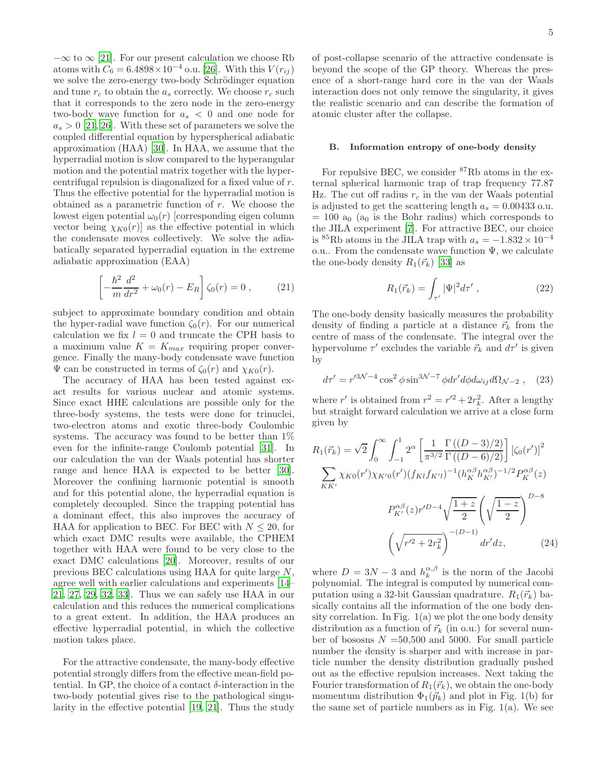$-\infty$  to  $\infty$  [\[21\]](#page-10-13). For our present calculation we choose Rb atoms with  $C_6 = 6.4898 \times 10^{-4}$  o.u. [\[26\]](#page-10-19). With this  $V(r_{ij})$ we solve the zero-energy two-body Schrödinger equation and tune  $r_c$  to obtain the  $a_s$  correctly. We choose  $r_c$  such that it corresponds to the zero node in the zero-energy two-body wave function for  $a_s < 0$  and one node for  $a_s > 0$  [\[21](#page-10-13), [26](#page-10-19)]. With these set of parameters we solve the coupled differential equation by hyperspherical adiabatic approximation (HAA) [\[30\]](#page-10-23). In HAA, we assume that the hyperradial motion is slow compared to the hyperangular motion and the potential matrix together with the hypercentrifugal repulsion is diagonalized for a fixed value of r. Thus the effective potential for the hyperradial motion is obtained as a parametric function of r. We choose the lowest eigen potential  $\omega_0(r)$  [corresponding eigen column vector being  $\chi_{K0}(r)$  as the effective potential in which the condensate moves collectively. We solve the adiabatically separated hyperradial equation in the extreme adiabatic approximation (EAA)

$$
\left[ -\frac{\hbar^2}{m} \frac{d^2}{dr^2} + \omega_0(r) - E_R \right] \zeta_0(r) = 0 , \qquad (21)
$$

subject to approximate boundary condition and obtain the hyper-radial wave function  $\zeta_0(r)$ . For our numerical calculation we fix  $l = 0$  and truncate the CPH basis to a maximum value  $K = K_{max}$  requiring proper convergence. Finally the many-body condensate wave function  $\Psi$  can be constructed in terms of  $\zeta_0(r)$  and  $\chi_{K0}(r)$ .

The accuracy of HAA has been tested against exact results for various nuclear and atomic systems. Since exact HHE calculations are possible only for the three-body systems, the tests were done for trinuclei, two-electron atoms and exotic three-body Coulombic systems. The accuracy was found to be better than 1% even for the infinite-range Coulomb potential [\[31\]](#page-10-24). In our calculation the van der Waals potential has shorter range and hence HAA is expected to be better [\[30\]](#page-10-23). Moreover the confining harmonic potential is smooth and for this potential alone, the hyperradial equation is completely decoupled. Since the trapping potential has a dominant effect, this also improves the accuracy of HAA for application to BEC. For BEC with  $N \leq 20$ , for which exact DMC results were available, the CPHEM together with HAA were found to be very close to the exact DMC calculations [\[20\]](#page-10-18). Moreover, results of our previous BEC calculations using HAA for quite large N, agree well with earlier calculations and experiments [\[14](#page-10-10)– [21,](#page-10-13) [27,](#page-10-20) [29,](#page-10-22) [32,](#page-10-25) [33\]](#page-10-26). Thus we can safely use HAA in our calculation and this reduces the numerical complications to a great extent. In addition, the HAA produces an effective hyperradial potential, in which the collective motion takes place.

For the attractive condensate, the many-body effective potential strongly differs from the effective mean-field potential. In GP, the choice of a contact  $\delta$ -interaction in the two-body potential gives rise to the pathological singularity in the effective potential [\[19](#page-10-12), [21\]](#page-10-13). Thus the study

of post-collapse scenario of the attractive condensate is beyond the scope of the GP theory. Whereas the presence of a short-range hard core in the van der Waals interaction does not only remove the singularity, it gives the realistic scenario and can describe the formation of atomic cluster after the collapse.

### B. Information entropy of one-body density

For repulsive BEC, we consider <sup>87</sup>Rb atoms in the external spherical harmonic trap of trap frequency 77.87 Hz. The cut off radius  $r_c$  in the van der Waals potential is adjusted to get the scattering length  $a_s = 0.00433$  o.u.  $= 100$  a<sub>0</sub> (a<sub>0</sub> is the Bohr radius) which corresponds to the JILA experiment [\[7\]](#page-10-2). For attractive BEC, our choice is <sup>85</sup>Rb atoms in the JILA trap with  $a_s = -1.832 \times 10^{-4}$ o.u.. From the condensate wave function  $\Psi$ , we calculate the one-body density  $R_1(\vec{r}_k)$  [\[33](#page-10-26)] as

$$
R_1(\vec{r}_k) = \int_{\tau'} |\Psi|^2 d\tau' , \qquad (22)
$$

The one-body density basically measures the probability density of finding a particle at a distance  $\vec{r}_k$  from the centre of mass of the condensate. The integral over the hypervolume  $\tau'$  excludes the variable  $\vec{r}_k$  and  $d\tau'$  is given by

$$
d\tau' = r'^{3\mathcal{N}-4} \cos^2 \phi \sin^{3\mathcal{N}-7} \phi dr' d\phi d\omega_{ij} d\Omega_{\mathcal{N}-2} , \quad (23)
$$

where r' is obtained from  $r^2 = r'^2 + 2r_k^2$ . After a lengthy but straight forward calculation we arrive at a close form given by

$$
R_{1}(\vec{r}_{k}) = \sqrt{2} \int_{0}^{\infty} \int_{-1}^{1} 2^{\alpha} \left[ \frac{1}{\pi^{3/2}} \frac{\Gamma((D-3)/2)}{\Gamma((D-6)/2)} \right] \left[ \zeta_{0}(r') \right]^{2}
$$

$$
\sum_{KK'} \chi_{K0}(r') \chi_{K'0}(r') (f_{Kl} f_{K'l})^{-1} (h_{K}^{\alpha\beta} h_{K'}^{\alpha\beta})^{-1/2} P_{K}^{\alpha\beta}(z)
$$

$$
P_{K'}^{\alpha\beta}(z) r'^{D-4} \sqrt{\frac{1+z}{2}} \left( \sqrt{\frac{1-z}{2}} \right)^{D-8}
$$

$$
\left( \sqrt{r'^{2} + 2r_{k}^{2}} \right)^{-(D-1)} dr' dz, \qquad (24)
$$

where  $D = 3N - 3$  and  $h_k^{\alpha,\beta}$  is the norm of the Jacobi polynomial. The integral is computed by numerical computation using a 32-bit Gaussian quadrature.  $R_1(\vec{r}_k)$  basically contains all the information of the one body density correlation. In Fig.  $1(a)$  we plot the one body density distribution as a function of  $\vec{r}_k$  (in o.u.) for several number of bososns  $N = 50,500$  and 5000. For small particle number the density is sharper and with increase in particle number the density distribution gradually pushed out as the effective repulsion increases. Next taking the Fourier transformation of  $R_1(\vec{r}_k)$ , we obtain the one-body momentum distribution  $\Phi_1(\vec{p}_k)$  and plot in Fig. 1(b) for the same set of particle numbers as in Fig.  $1(a)$ . We see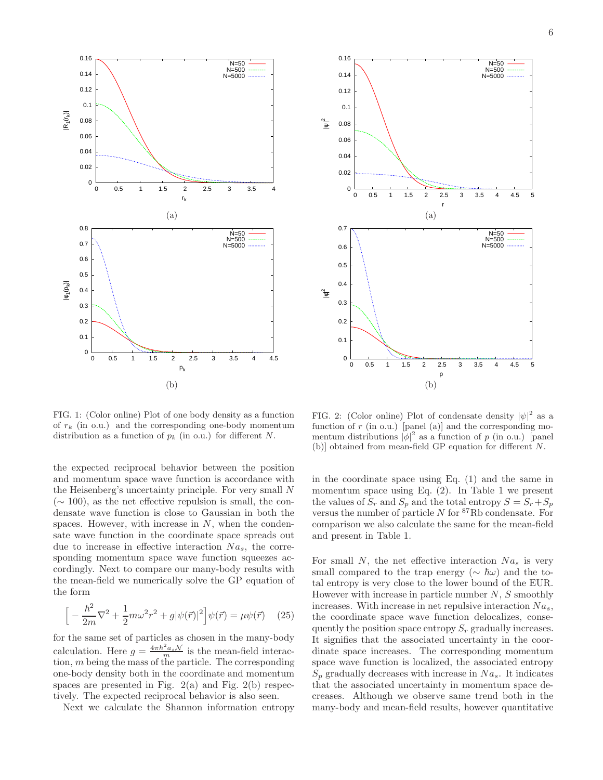



FIG. 1: (Color online) Plot of one body density as a function of  $r_k$  (in o.u.) and the corresponding one-body momentum distribution as a function of  $p_k$  (in o.u.) for different N.

the expected reciprocal behavior between the position and momentum space wave function is accordance with the Heisenberg's uncertainty principle. For very small N  $(\sim 100)$ , as the net effective repulsion is small, the condensate wave function is close to Gaussian in both the spaces. However, with increase in  $N$ , when the condensate wave function in the coordinate space spreads out due to increase in effective interaction  $Na<sub>s</sub>$ , the corresponding momentum space wave function squeezes accordingly. Next to compare our many-body results with the mean-field we numerically solve the GP equation of the form

$$
\[ -\frac{\hbar^2}{2m}\nabla^2 + \frac{1}{2}m\omega^2 r^2 + g|\psi(\vec{r})|^2 \] \psi(\vec{r}) = \mu\psi(\vec{r}) \quad (25)
$$

for the same set of particles as chosen in the many-body calculation. Here  $g = \frac{4\pi\hbar^2 a_s \mathcal{N}}{m}$  is the mean-field interaction,  $m$  being the mass of the particle. The corresponding one-body density both in the coordinate and momentum spaces are presented in Fig.  $2(a)$  and Fig.  $2(b)$  respectively. The expected reciprocal behavior is also seen.

Next we calculate the Shannon information entropy

FIG. 2: (Color online) Plot of condensate density  $|\psi|^2$  as a function of r (in o.u.) [panel (a)] and the corresponding momentum distributions  $|\phi|^2$  as a function of p (in o.u.) [panel (b)] obtained from mean-field GP equation for different N.

in the coordinate space using Eq. (1) and the same in momentum space using Eq.  $(2)$ . In Table 1 we present the values of  $S_r$  and  $S_p$  and the total entropy  $S = S_r + S_p$ versus the number of particle  $N$  for  ${}^{87}$ Rb condensate. For comparison we also calculate the same for the mean-field and present in Table 1.

For small N, the net effective interaction  $Na<sub>s</sub>$  is very small compared to the trap energy ( $\sim \hbar \omega$ ) and the total entropy is very close to the lower bound of the EUR. However with increase in particle number  $N$ ,  $S$  smoothly increases. With increase in net repulsive interaction  $Na<sub>s</sub>$ , the coordinate space wave function delocalizes, consequently the position space entropy  $S_r$  gradually increases. It signifies that the associated uncertainty in the coordinate space increases. The corresponding momentum space wave function is localized, the associated entropy  $S_p$  gradually decreases with increase in  $Na_s$ . It indicates that the associated uncertainty in momentum space decreases. Although we observe same trend both in the many-body and mean-field results, however quantitative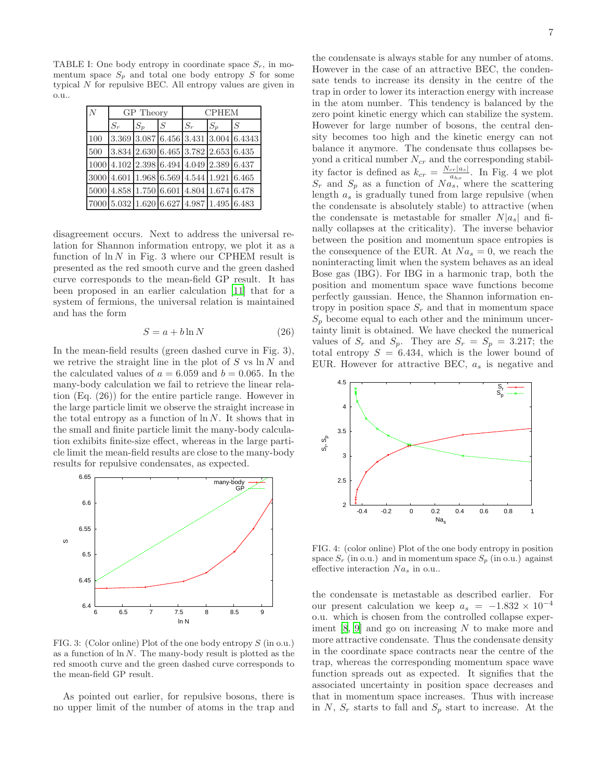TABLE I: One body entropy in coordinate space  $S_r$ , in momentum space  $S_p$  and total one body entropy S for some typical N for repulsive BEC. All entropy values are given in o.u..

| $\overline{N}$ | GP Theory |                                                                                |       | <b>CPHEM</b> |       |                                        |
|----------------|-----------|--------------------------------------------------------------------------------|-------|--------------|-------|----------------------------------------|
|                | $S_r$     | $S_p$                                                                          | $\,S$ | $S_r$        | $S_p$ | S                                      |
| 100            |           |                                                                                |       |              |       | $3.369$ 3.087 6.456 3.431 3.004 6.4343 |
| 500            |           | $3.834$ $2.630$ 6.465 3.782 2.653 6.435                                        |       |              |       |                                        |
|                |           | $1000 4.102 2.398 6.494 4.049 2.389 6.437$                                     |       |              |       |                                        |
|                |           | $3000 \big  4.601 \big  1.968 \big  6.569 \big  4.544 \big  1.921 \big  6.465$ |       |              |       |                                        |
|                |           | 5000 4.858 1.750 6.601 4.804 1.674 6.478                                       |       |              |       |                                        |
|                |           | 7000 5.032 1.620 6.627 4.987 1.495 6.483                                       |       |              |       |                                        |

disagreement occurs. Next to address the universal relation for Shannon information entropy, we plot it as a function of  $\ln N$  in Fig. 3 where our CPHEM result is presented as the red smooth curve and the green dashed curve corresponds to the mean-field GP result. It has been proposed in an earlier calculation [\[11](#page-10-5)] that for a system of fermions, the universal relation is maintained and has the form

$$
S = a + b \ln N \tag{26}
$$

In the mean-field results (green dashed curve in Fig. 3), we retrive the straight line in the plot of  $S$  vs  $\ln N$  and the calculated values of  $a = 6.059$  and  $b = 0.065$ . In the many-body calculation we fail to retrieve the linear relation (Eq. (26)) for the entire particle range. However in the large particle limit we observe the straight increase in the total entropy as a function of  $\ln N$ . It shows that in the small and finite particle limit the many-body calculation exhibits finite-size effect, whereas in the large particle limit the mean-field results are close to the many-body results for repulsive condensates, as expected.



FIG. 3: (Color online) Plot of the one body entropy S (in o.u.) as a function of  $\ln N$ . The many-body result is plotted as the red smooth curve and the green dashed curve corresponds to the mean-field GP result.

As pointed out earlier, for repulsive bosons, there is no upper limit of the number of atoms in the trap and

the condensate is always stable for any number of atoms. However in the case of an attractive BEC, the condensate tends to increase its density in the centre of the trap in order to lower its interaction energy with increase in the atom number. This tendency is balanced by the zero point kinetic energy which can stabilize the system. However for large number of bosons, the central density becomes too high and the kinetic energy can not balance it anymore. The condensate thus collapses beyond a critical number  $N_{cr}$  and the corresponding stability factor is defined as  $k_{cr} = \frac{N_{cr}|a_s|}{a_{bs}}$  $\frac{c_r|a_s|}{a_{ho}}$ . In Fig. 4 we plot  $S_r$  and  $S_p$  as a function of  $Na_s$ , where the scattering length  $a_s$  is gradually tuned from large repulsive (when the condensate is absolutely stable) to attractive (when the condensate is metastable for smaller  $N|a_s|$  and finally collapses at the criticality). The inverse behavior between the position and momentum space entropies is the consequence of the EUR. At  $Na_s = 0$ , we reach the noninteracting limit when the system behaves as an ideal Bose gas (IBG). For IBG in a harmonic trap, both the position and momentum space wave functions become perfectly gaussian. Hence, the Shannon information entropy in position space  $S_r$  and that in momentum space  $S_p$  become equal to each other and the minimum uncertainty limit is obtained. We have checked the numerical values of  $S_r$  and  $S_p$ . They are  $S_r = S_p = 3.217$ ; the total entropy  $S = 6.434$ , which is the lower bound of EUR. However for attractive BEC,  $a_s$  is negative and



FIG. 4: (color online) Plot of the one body entropy in position space  $S_r$  (in o.u.) and in momentum space  $S_p$  (in o.u.) against effective interaction  $Na<sub>s</sub>$  in o.u..

the condensate is metastable as described earlier. For our present calculation we keep  $a_s = -1.832 \times 10^{-4}$ o.u. which is chosen from the controlled collapse experiment  $[8, 9]$  $[8, 9]$  $[8, 9]$  and go on increasing N to make more and more attractive condensate. Thus the condensate density in the coordinate space contracts near the centre of the trap, whereas the corresponding momentum space wave function spreads out as expected. It signifies that the associated uncertainty in position space decreases and that in momentum space increases. Thus with increase in N,  $S_r$  starts to fall and  $S_p$  start to increase. At the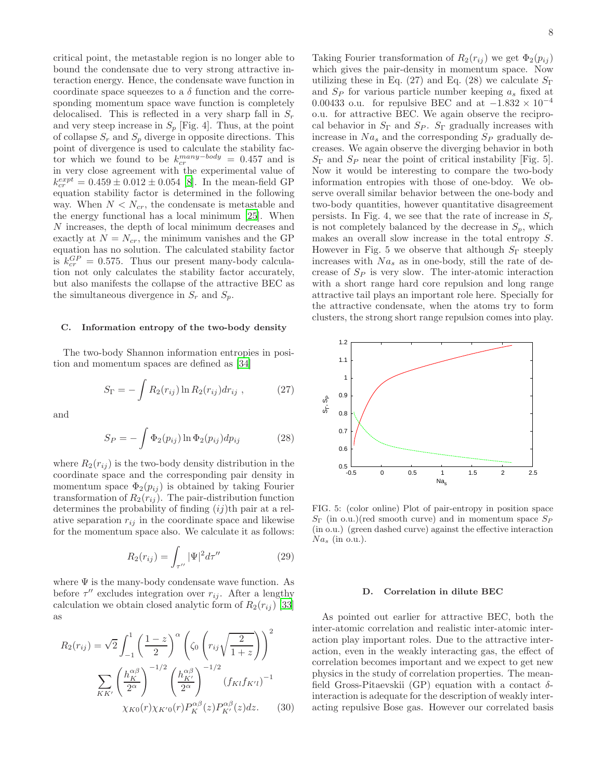critical point, the metastable region is no longer able to bound the condensate due to very strong attractive interaction energy. Hence, the condensate wave function in coordinate space squeezes to a  $\delta$  function and the corresponding momentum space wave function is completely delocalised. This is reflected in a very sharp fall in  $S_r$ and very steep increase in  $S_p$  [Fig. 4]. Thus, at the point of collapse  $S_r$  and  $S_p$  diverge in opposite directions. This point of divergence is used to calculate the stability factor which we found to be  $k_{cr}^{many-body} = 0.457$  and is in very close agreement with the experimental value of  $k_{cr}^{expt} = 0.459 \pm 0.012 \pm 0.054$  [\[8\]](#page-10-9). In the mean-field GP equation stability factor is determined in the following way. When  $N < N_{cr}$ , the condensate is metastable and the energy functional has a local minimum [\[25](#page-10-17)]. When N increases, the depth of local minimum decreases and exactly at  $N = N_{cr}$ , the minimum vanishes and the GP equation has no solution. The calculated stability factor is  $k_{cr}^{GP} = 0.575$ . Thus our present many-body calculation not only calculates the stability factor accurately, but also manifests the collapse of the attractive BEC as the simultaneous divergence in  $S_r$  and  $S_p$ .

## C. Information entropy of the two-body density

The two-body Shannon information entropies in position and momentum spaces are defined as [\[34\]](#page-10-27)

$$
S_{\Gamma} = -\int R_2(r_{ij}) \ln R_2(r_{ij}) dr_{ij} , \qquad (27)
$$

and

$$
S_P = -\int \Phi_2(p_{ij}) \ln \Phi_2(p_{ij}) dp_{ij}
$$
 (28)

where  $R_2(r_{ij})$  is the two-body density distribution in the coordinate space and the corresponding pair density in momentum space  $\Phi_2(p_{ij})$  is obtained by taking Fourier transformation of  $R_2(r_{ij})$ . The pair-distribution function determines the probability of finding  $(ij)$ th pair at a relative separation  $r_{ij}$  in the coordinate space and likewise for the momentum space also. We calculate it as follows:

$$
R_2(r_{ij}) = \int_{\tau''} |\Psi|^2 d\tau'' \tag{29}
$$

where  $\Psi$  is the many-body condensate wave function. As before  $\tau''$  excludes integration over  $r_{ij}$ . After a lengthy calculation we obtain closed analytic form of  $R_2(r_{ij})$  [\[33](#page-10-26)] as

$$
R_2(r_{ij}) = \sqrt{2} \int_{-1}^1 \left(\frac{1-z}{2}\right)^\alpha \left(\zeta_0 \left(r_{ij}\sqrt{\frac{2}{1+z}}\right)\right)^2
$$

$$
\sum_{KK'} \left(\frac{h_K^{\alpha\beta}}{2^\alpha}\right)^{-1/2} \left(\frac{h_{K'}^{\alpha\beta}}{2^\alpha}\right)^{-1/2} \left(f_{Kl}f_{K'l}\right)^{-1}
$$

$$
\chi_{K0}(r)\chi_{K'0}(r)P_K^{\alpha\beta}(z)P_{K'}^{\alpha\beta}(z)dz. \tag{30}
$$

Taking Fourier transformation of  $R_2(r_{ij})$  we get  $\Phi_2(p_{ij})$ which gives the pair-density in momentum space. Now utilizing these in Eq. (27) and Eq. (28) we calculate  $S_{\Gamma}$ and  $S_P$  for various particle number keeping  $a_s$  fixed at 0.00433 o.u. for repulsive BEC and at  $-1.832 \times 10^{-4}$ o.u. for attractive BEC. We again observe the reciprocal behavior in  $S_{\Gamma}$  and  $S_{P}$ .  $S_{\Gamma}$  gradually increases with increase in  $Na<sub>s</sub>$  and the corresponding  $S<sub>P</sub>$  gradually decreases. We again observe the diverging behavior in both  $S_{\Gamma}$  and  $S_{P}$  near the point of critical instability [Fig. 5]. Now it would be interesting to compare the two-body information entropies with those of one-bdoy. We observe overall similar behavior between the one-body and two-body quantities, however quantitative disagreement persists. In Fig. 4, we see that the rate of increase in  $S_r$ is not completely balanced by the decrease in  $S_p$ , which makes an overall slow increase in the total entropy S. However in Fig. 5 we observe that although  $S_{\Gamma}$  steeply increases with  $Na<sub>s</sub>$  as in one-body, still the rate of decrease of  $S_P$  is very slow. The inter-atomic interaction with a short range hard core repulsion and long range attractive tail plays an important role here. Specially for the attractive condensate, when the atoms try to form clusters, the strong short range repulsion comes into play.



FIG. 5: (color online) Plot of pair-entropy in position space  $S_{\Gamma}$  (in o.u.)(red smooth curve) and in momentum space  $S_{P}$ (in o.u.) (green dashed curve) against the effective interaction  $Na<sub>s</sub>$  (in o.u.).

#### D. Correlation in dilute BEC

As pointed out earlier for attractive BEC, both the inter-atomic correlation and realistic inter-atomic interaction play important roles. Due to the attractive interaction, even in the weakly interacting gas, the effect of correlation becomes important and we expect to get new physics in the study of correlation properties. The meanfield Gross-Pitaevskii (GP) equation with a contact  $\delta$ interaction is adequate for the description of weakly interacting repulsive Bose gas. However our correlated basis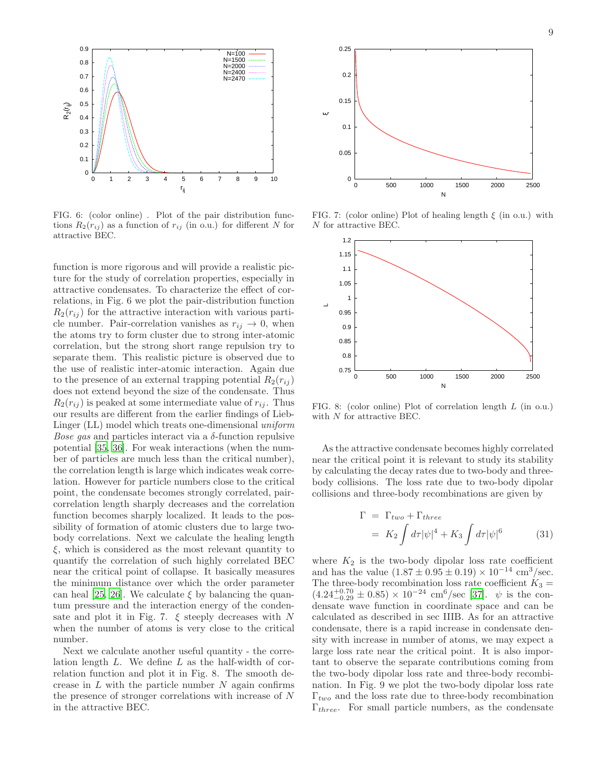

FIG. 6: (color online) . Plot of the pair distribution functions  $R_2(r_{ij})$  as a function of  $r_{ij}$  (in o.u.) for different N for attractive BEC.

function is more rigorous and will provide a realistic picture for the study of correlation properties, especially in attractive condensates. To characterize the effect of correlations, in Fig. 6 we plot the pair-distribution function  $R_2(r_{ij})$  for the attractive interaction with various particle number. Pair-correlation vanishes as  $r_{ij} \rightarrow 0$ , when the atoms try to form cluster due to strong inter-atomic correlation, but the strong short range repulsion try to separate them. This realistic picture is observed due to the use of realistic inter-atomic interaction. Again due to the presence of an external trapping potential  $R_2(r_{ij})$ does not extend beyond the size of the condensate. Thus  $R_2(r_{ij})$  is peaked at some intermediate value of  $r_{ij}$ . Thus our results are different from the earlier findings of Lieb-Linger (LL) model which treats one-dimensional uniform *Bose gas* and particles interact via a  $\delta$ -function repulsive potential [\[35,](#page-10-28) [36](#page-10-29)]. For weak interactions (when the number of particles are much less than the critical number), the correlation length is large which indicates weak correlation. However for particle numbers close to the critical point, the condensate becomes strongly correlated, paircorrelation length sharply decreases and the correlation function becomes sharply localized. It leads to the possibility of formation of atomic clusters due to large twobody correlations. Next we calculate the healing length  $\xi$ , which is considered as the most relevant quantity to quantify the correlation of such highly correlated BEC near the critical point of collapse. It basically measures the minimum distance over which the order parameter can heal [\[25,](#page-10-17) [26](#page-10-19)]. We calculate  $\xi$  by balancing the quantum pressure and the interaction energy of the condensate and plot it in Fig. 7.  $\xi$  steeply decreases with N when the number of atoms is very close to the critical number.

Next we calculate another useful quantity - the correlation length L. We define L as the half-width of correlation function and plot it in Fig. 8. The smooth decrease in  $L$  with the particle number  $N$  again confirms the presence of stronger correlations with increase of N in the attractive BEC.



FIG. 7: (color online) Plot of healing length  $\xi$  (in o.u.) with N for attractive BEC.



FIG. 8: (color online) Plot of correlation length L (in o.u.) with  $N$  for attractive BEC.

As the attractive condensate becomes highly correlated near the critical point it is relevant to study its stability by calculating the decay rates due to two-body and threebody collisions. The loss rate due to two-body dipolar collisions and three-body recombinations are given by

$$
\Gamma = \Gamma_{two} + \Gamma_{three}
$$
  
=  $K_2 \int d\tau |\psi|^4 + K_3 \int d\tau |\psi|^6$  (31)

where  $K_2$  is the two-body dipolar loss rate coefficient and has the value  $(1.87 \pm 0.95 \pm 0.19) \times 10^{-14}$  cm<sup>3</sup>/sec. The three-body recombination loss rate coefficient  $K_3 =$  $(4.24_{-0.29}^{+0.70} \pm 0.85) \times 10^{-24}$  cm<sup>6</sup>/sec [\[37\]](#page-10-30).  $\psi$  is the condensate wave function in coordinate space and can be calculated as described in sec IIIB. As for an attractive condensate, there is a rapid increase in condensate density with increase in number of atoms, we may expect a large loss rate near the critical point. It is also important to observe the separate contributions coming from the two-body dipolar loss rate and three-body recombination. In Fig. 9 we plot the two-body dipolar loss rate  $\Gamma_{two}$  and the loss rate due to three-body recombination  $\Gamma_{three}$ . For small particle numbers, as the condensate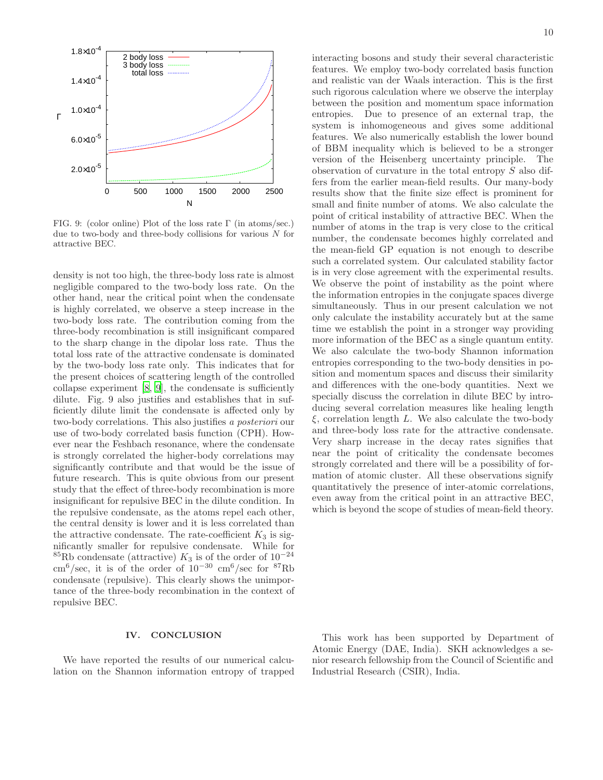

FIG. 9: (color online) Plot of the loss rate Γ (in atoms/sec.) due to two-body and three-body collisions for various  $N$  for attractive BEC.

density is not too high, the three-body loss rate is almost negligible compared to the two-body loss rate. On the other hand, near the critical point when the condensate is highly correlated, we observe a steep increase in the two-body loss rate. The contribution coming from the three-body recombination is still insignificant compared to the sharp change in the dipolar loss rate. Thus the total loss rate of the attractive condensate is dominated by the two-body loss rate only. This indicates that for the present choices of scattering length of the controlled collapse experiment [\[8,](#page-10-9) [9](#page-10-3)], the condensate is sufficiently dilute. Fig. 9 also justifies and establishes that in sufficiently dilute limit the condensate is affected only by two-body correlations. This also justifies a posteriori our use of two-body correlated basis function (CPH). However near the Feshbach resonance, where the condensate is strongly correlated the higher-body correlations may significantly contribute and that would be the issue of future research. This is quite obvious from our present study that the effect of three-body recombination is more insignificant for repulsive BEC in the dilute condition. In the repulsive condensate, as the atoms repel each other, the central density is lower and it is less correlated than the attractive condensate. The rate-coefficient  $K_3$  is significantly smaller for repulsive condensate. While for <sup>85</sup>Rb condensate (attractive)  $K_3$  is of the order of 10<sup>-24</sup> cm<sup>6</sup>/sec, it is of the order of  $10^{-30}$  cm<sup>6</sup>/sec for <sup>87</sup>Rb condensate (repulsive). This clearly shows the unimportance of the three-body recombination in the context of repulsive BEC.

# IV. CONCLUSION

We have reported the results of our numerical calculation on the Shannon information entropy of trapped interacting bosons and study their several characteristic features. We employ two-body correlated basis function and realistic van der Waals interaction. This is the first such rigorous calculation where we observe the interplay between the position and momentum space information entropies. Due to presence of an external trap, the system is inhomogeneous and gives some additional features. We also numerically establish the lower bound of BBM inequality which is believed to be a stronger version of the Heisenberg uncertainty principle. The observation of curvature in the total entropy S also differs from the earlier mean-field results. Our many-body results show that the finite size effect is prominent for small and finite number of atoms. We also calculate the point of critical instability of attractive BEC. When the number of atoms in the trap is very close to the critical number, the condensate becomes highly correlated and the mean-field GP equation is not enough to describe such a correlated system. Our calculated stability factor is in very close agreement with the experimental results. We observe the point of instability as the point where the information entropies in the conjugate spaces diverge simultaneously. Thus in our present calculation we not only calculate the instability accurately but at the same time we establish the point in a stronger way providing more information of the BEC as a single quantum entity. We also calculate the two-body Shannon information entropies corresponding to the two-body densities in position and momentum spaces and discuss their similarity and differences with the one-body quantities. Next we specially discuss the correlation in dilute BEC by introducing several correlation measures like healing length  $\xi$ , correlation length L. We also calculate the two-body and three-body loss rate for the attractive condensate. Very sharp increase in the decay rates signifies that near the point of criticality the condensate becomes strongly correlated and there will be a possibility of formation of atomic cluster. All these observations signify quantitatively the presence of inter-atomic correlations, even away from the critical point in an attractive BEC, which is beyond the scope of studies of mean-field theory.

This work has been supported by Department of Atomic Energy (DAE, India). SKH acknowledges a senior research fellowship from the Council of Scientific and Industrial Research (CSIR), India.